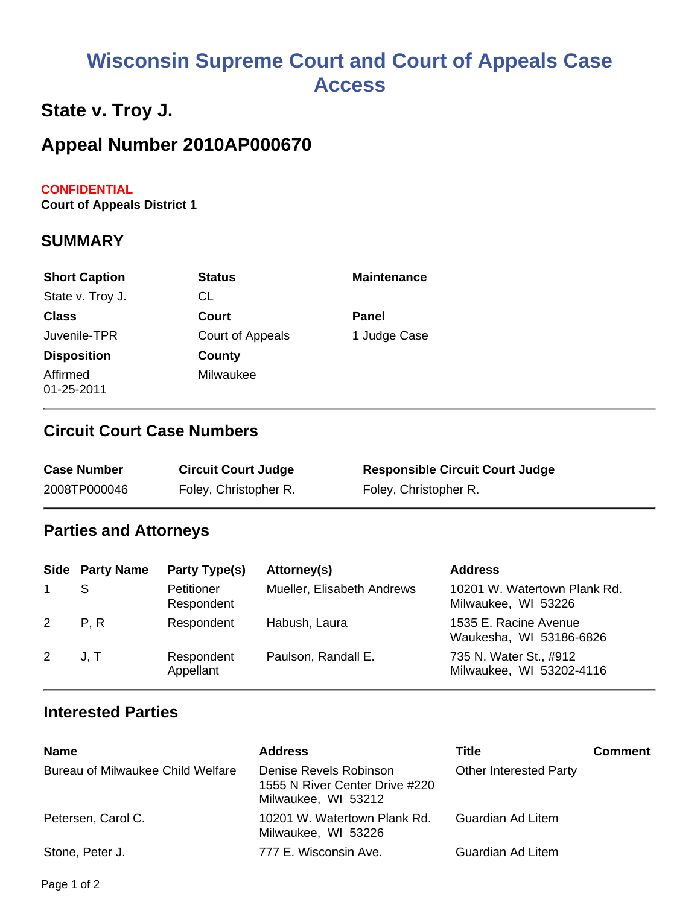# **Wisconsin Supreme Court and Court of Appeals Case Access**

# **State v. Troy J.**

# **Appeal Number 2010AP000670**

#### **CONFIDENTIAL**

**Court of Appeals District 1**

#### **SUMMARY**

| <b>Short Caption</b>   | <b>Status</b>    | <b>Maintenance</b> |
|------------------------|------------------|--------------------|
| State v. Troy J.       | CL               |                    |
| <b>Class</b>           | Court            | <b>Panel</b>       |
| Juvenile-TPR           | Court of Appeals | 1 Judge Case       |
| <b>Disposition</b>     | County           |                    |
| Affirmed<br>01-25-2011 | Milwaukee        |                    |

### **Circuit Court Case Numbers**

| <b>Case Number</b> | <b>Circuit Court Judge</b> | <b>Responsible Circuit Court Judge</b> |
|--------------------|----------------------------|----------------------------------------|
| 2008TP000046       | Foley, Christopher R.      | Foley, Christopher R.                  |

# **Parties and Attorneys**

|                | <b>Side Party Name</b> | Party Type(s)            | Attorney(s)                | <b>Address</b>                                      |
|----------------|------------------------|--------------------------|----------------------------|-----------------------------------------------------|
| $\mathbf{1}$   |                        | Petitioner<br>Respondent | Mueller, Elisabeth Andrews | 10201 W. Watertown Plank Rd.<br>Milwaukee, WI 53226 |
| 2 P.R          |                        | Respondent               | Habush, Laura              | 1535 E. Racine Avenue<br>Waukesha, WI 53186-6826    |
| $2 \quad J, T$ |                        | Respondent<br>Appellant  | Paulson, Randall E.        | 735 N. Water St., #912<br>Milwaukee, WI 53202-4116  |

### **Interested Parties**

| <b>Name</b>                       | <b>Address</b>                                                                  | Title                         | <b>Comment</b> |
|-----------------------------------|---------------------------------------------------------------------------------|-------------------------------|----------------|
| Bureau of Milwaukee Child Welfare | Denise Revels Robinson<br>1555 N River Center Drive #220<br>Milwaukee, WI 53212 | <b>Other Interested Party</b> |                |
| Petersen, Carol C.                | 10201 W. Watertown Plank Rd.<br>Milwaukee, WI 53226                             | Guardian Ad Litem             |                |
| Stone, Peter J.                   | 777 E. Wisconsin Ave.                                                           | Guardian Ad Litem             |                |

Page 1 of 2